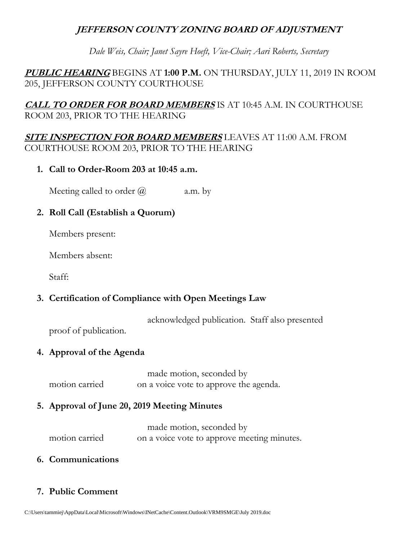# **JEFFERSON COUNTY ZONING BOARD OF ADJUSTMENT**

*Dale Weis, Chair; Janet Sayre Hoeft, Vice-Chair; Aari Roberts, Secretary* 

**PUBLIC HEARING** BEGINS AT **1:00 P.M.** ON THURSDAY, JULY 11, 2019 IN ROOM 205, JEFFERSON COUNTY COURTHOUSE

**CALL TO ORDER FOR BOARD MEMBERS** IS AT 10:45 A.M. IN COURTHOUSE ROOM 203, PRIOR TO THE HEARING

**SITE INSPECTION FOR BOARD MEMBERS** LEAVES AT 11:00 A.M. FROM COURTHOUSE ROOM 203, PRIOR TO THE HEARING

**1. Call to Order-Room 203 at 10:45 a.m.**

Meeting called to order  $\omega$  a.m. by

# **2. Roll Call (Establish a Quorum)**

Members present:

Members absent:

Staff:

# **3. Certification of Compliance with Open Meetings Law**

acknowledged publication. Staff also presented

proof of publication.

# **4. Approval of the Agenda**

made motion, seconded by motion carried on a voice vote to approve the agenda.

# **5. Approval of June 20, 2019 Meeting Minutes**

|                | made motion, seconded by                    |
|----------------|---------------------------------------------|
| motion carried | on a voice vote to approve meeting minutes. |

# **6. Communications**

# **7. Public Comment**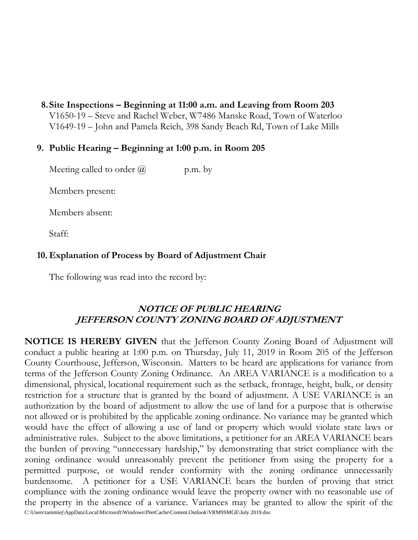**8.Site Inspections – Beginning at 11:00 a.m. and Leaving from Room 203** V1650-19 – Steve and Rachel Weber, W7486 Manske Road, Town of Waterloo V1649-19 – John and Pamela Reich, 398 Sandy Beach Rd, Town of Lake Mills

## **9. Public Hearing – Beginning at 1:00 p.m. in Room 205**

Meeting called to order  $\omega$  p.m. by

Members present:

Members absent:

Staff:

# **10. Explanation of Process by Board of Adjustment Chair**

The following was read into the record by:

# **NOTICE OF PUBLIC HEARING JEFFERSON COUNTY ZONING BOARD OF ADJUSTMENT**

C:\Users\tammiej\AppData\Local\Microsoft\Windows\INetCache\Content.Outlook\VRM9SMGE\July 2019.doc **NOTICE IS HEREBY GIVEN** that the Jefferson County Zoning Board of Adjustment will conduct a public hearing at 1:00 p.m. on Thursday, July 11, 2019 in Room 205 of the Jefferson County Courthouse, Jefferson, Wisconsin. Matters to be heard are applications for variance from terms of the Jefferson County Zoning Ordinance. An AREA VARIANCE is a modification to a dimensional, physical, locational requirement such as the setback, frontage, height, bulk, or density restriction for a structure that is granted by the board of adjustment. A USE VARIANCE is an authorization by the board of adjustment to allow the use of land for a purpose that is otherwise not allowed or is prohibited by the applicable zoning ordinance. No variance may be granted which would have the effect of allowing a use of land or property which would violate state laws or administrative rules. Subject to the above limitations, a petitioner for an AREA VARIANCE bears the burden of proving "unnecessary hardship," by demonstrating that strict compliance with the zoning ordinance would unreasonably prevent the petitioner from using the property for a permitted purpose, or would render conformity with the zoning ordinance unnecessarily burdensome. A petitioner for a USE VARIANCE bears the burden of proving that strict compliance with the zoning ordinance would leave the property owner with no reasonable use of the property in the absence of a variance. Variances may be granted to allow the spirit of the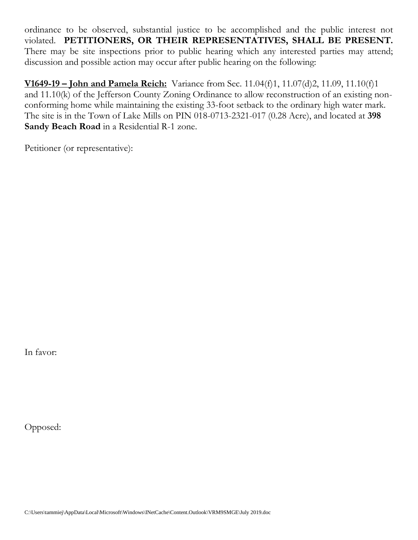ordinance to be observed, substantial justice to be accomplished and the public interest not violated. **PETITIONERS, OR THEIR REPRESENTATIVES, SHALL BE PRESENT.** There may be site inspections prior to public hearing which any interested parties may attend; discussion and possible action may occur after public hearing on the following:

**V1649-19 – John and Pamela Reich:** Variance from Sec. 11.04(f)1, 11.07(d)2, 11.09, 11.10(f)1 and 11.10(k) of the Jefferson County Zoning Ordinance to allow reconstruction of an existing nonconforming home while maintaining the existing 33-foot setback to the ordinary high water mark. The site is in the Town of Lake Mills on PIN 018-0713-2321-017 (0.28 Acre), and located at **398 Sandy Beach Road** in a Residential R-1 zone.

Petitioner (or representative):

In favor:

Opposed: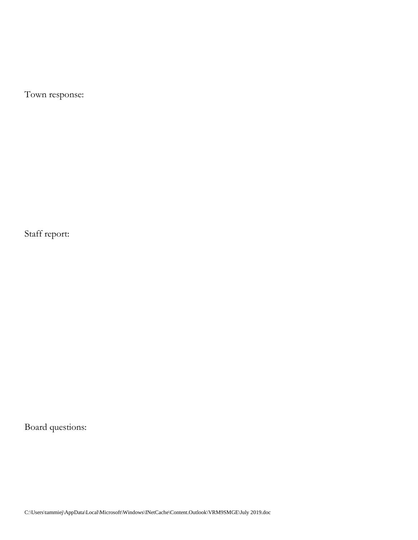Town response:

Staff report:

Board questions: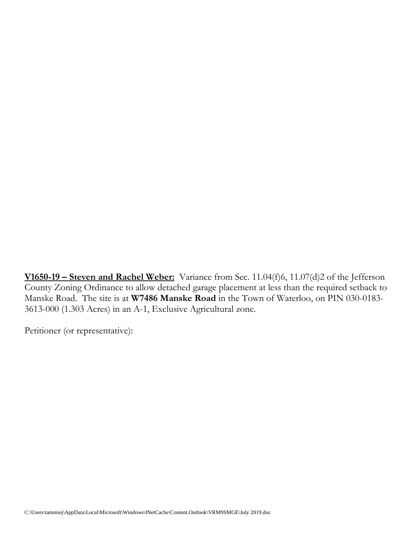**V1650-19 – Steven and Rachel Weber:** Variance from Sec. 11.04(f)6, 11.07(d)2 of the Jefferson County Zoning Ordinance to allow detached garage placement at less than the required setback to Manske Road. The site is at **W7486 Manske Road** in the Town of Waterloo, on PIN 030-0183- 3613-000 (1.303 Acres) in an A-1, Exclusive Agricultural zone.

Petitioner (or representative):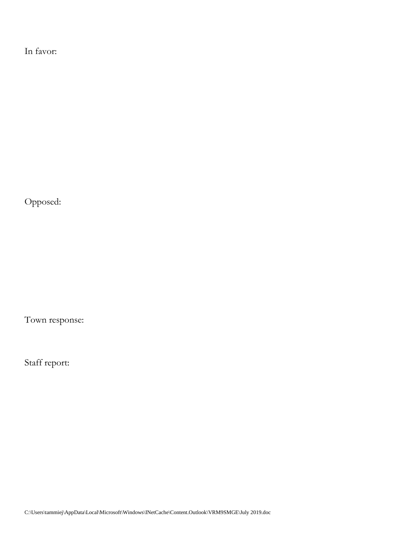In favor:

Opposed:

Town response:

Staff report: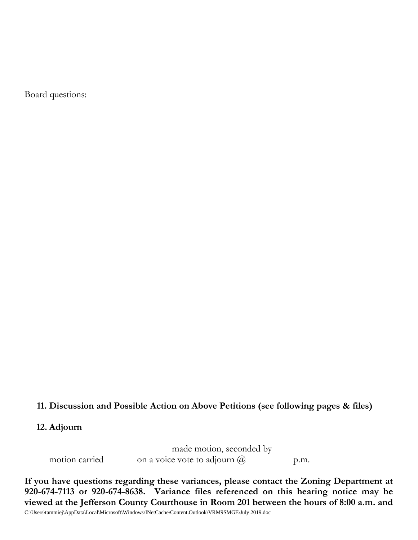Board questions:

#### **11. Discussion and Possible Action on Above Petitions (see following pages & files)**

#### **12. Adjourn**

made motion, seconded by motion carried on a voice vote to adjourn  $\omega$  p.m.

C:\Users\tammiej\AppData\Local\Microsoft\Windows\INetCache\Content.Outlook\VRM9SMGE\July 2019.doc **If you have questions regarding these variances, please contact the Zoning Department at 920-674-7113 or 920-674-8638. Variance files referenced on this hearing notice may be viewed at the Jefferson County Courthouse in Room 201 between the hours of 8:00 a.m. and**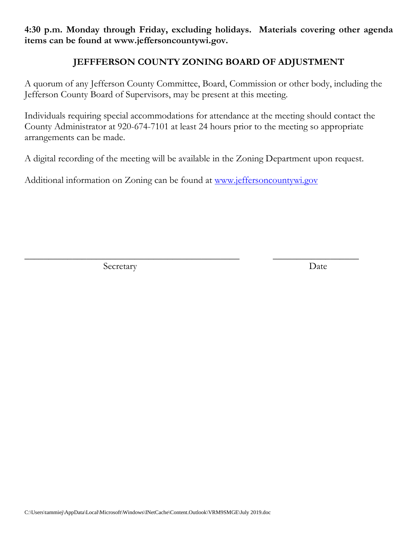**4:30 p.m. Monday through Friday, excluding holidays. Materials covering other agenda items can be found at www.jeffersoncountywi.gov.**

# **JEFFFERSON COUNTY ZONING BOARD OF ADJUSTMENT**

A quorum of any Jefferson County Committee, Board, Commission or other body, including the Jefferson County Board of Supervisors, may be present at this meeting.

Individuals requiring special accommodations for attendance at the meeting should contact the County Administrator at 920-674-7101 at least 24 hours prior to the meeting so appropriate arrangements can be made.

A digital recording of the meeting will be available in the Zoning Department upon request.

\_\_\_\_\_\_\_\_\_\_\_\_\_\_\_\_\_\_\_\_\_\_\_\_\_\_\_\_\_\_\_\_\_\_\_\_\_\_\_\_\_\_\_\_\_ \_\_\_\_\_\_\_\_\_\_\_\_\_\_\_\_\_\_

Additional information on Zoning can be found at [www.jeffersoncountywi.gov](http://www.jeffersoncountywi.gov/)

Secretary Date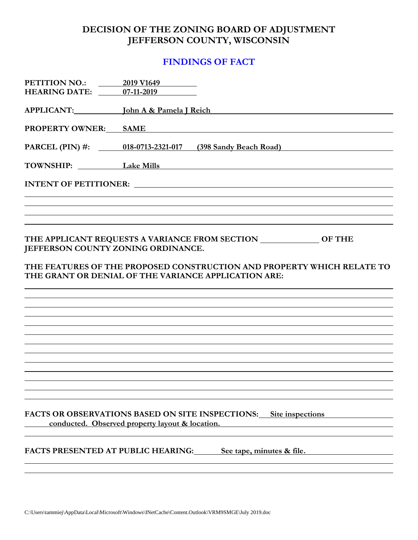# **DECISION OF THE ZONING BOARD OF ADJUSTMENT JEFFERSON COUNTY, WISCONSIN**

## **FINDINGS OF FACT**

| PETITION NO.:<br><b>HEARING DATE:</b> | 2019 V1649<br>07-11-2019                                                                                                       |
|---------------------------------------|--------------------------------------------------------------------------------------------------------------------------------|
| APPLICANT: John A & Pamela J Reich    |                                                                                                                                |
| <b>PROPERTY OWNER: SAME</b>           |                                                                                                                                |
|                                       | PARCEL (PIN) #: 018-0713-2321-017 (398 Sandy Beach Road)                                                                       |
| TOWNSHIP: Lake Mills                  |                                                                                                                                |
|                                       | INTENT OF PETITIONER:                                                                                                          |
|                                       |                                                                                                                                |
|                                       |                                                                                                                                |
| JEFFERSON COUNTY ZONING ORDINANCE.    | THE APPLICANT REQUESTS A VARIANCE FROM SECTION ______________ OF THE                                                           |
|                                       | THE FEATURES OF THE PROPOSED CONSTRUCTION AND PROPERTY WHICH RELATE TO<br>THE GRANT OR DENIAL OF THE VARIANCE APPLICATION ARE: |
|                                       |                                                                                                                                |
|                                       |                                                                                                                                |
|                                       |                                                                                                                                |
|                                       |                                                                                                                                |
|                                       |                                                                                                                                |
|                                       |                                                                                                                                |
|                                       |                                                                                                                                |
|                                       | <b>FACTS OR OBSERVATIONS BASED ON SITE INSPECTIONS:</b> Site inspections<br>conducted. Observed property layout & location.    |
|                                       | <b>FACTS PRESENTED AT PUBLIC HEARING:</b><br>See tape, minutes & file.                                                         |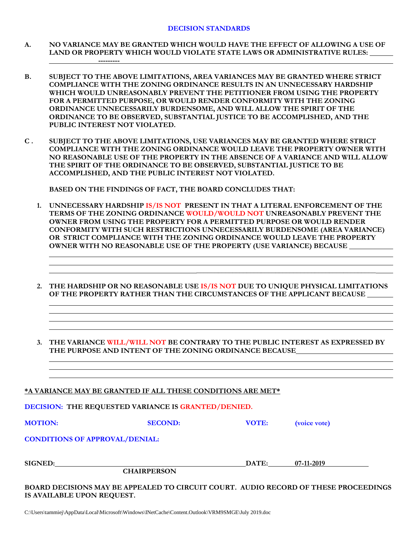- **A. NO VARIANCE MAY BE GRANTED WHICH WOULD HAVE THE EFFECT OF ALLOWING A USE OF LAND OR PROPERTY WHICH WOULD VIOLATE STATE LAWS OR ADMINISTRATIVE RULES:**
- **B. SUBJECT TO THE ABOVE LIMITATIONS, AREA VARIANCES MAY BE GRANTED WHERE STRICT COMPLIANCE WITH THE ZONING ORDINANCE RESULTS IN AN UNNECESSARY HARDSHIP WHICH WOULD UNREASONABLY PREVENT THE PETITIONER FROM USING THE PROPERTY FOR A PERMITTED PURPOSE, OR WOULD RENDER CONFORMITY WITH THE ZONING ORDINANCE UNNECESSARILY BURDENSOME, AND WILL ALLOW THE SPIRIT OF THE ORDINANCE TO BE OBSERVED, SUBSTANTIAL JUSTICE TO BE ACCOMPLISHED, AND THE PUBLIC INTEREST NOT VIOLATED.**
- **C . SUBJECT TO THE ABOVE LIMITATIONS, USE VARIANCES MAY BE GRANTED WHERE STRICT COMPLIANCE WITH THE ZONING ORDINANCE WOULD LEAVE THE PROPERTY OWNER WITH NO REASONABLE USE OF THE PROPERTY IN THE ABSENCE OF A VARIANCE AND WILL ALLOW THE SPIRIT OF THE ORDINANCE TO BE OBSERVED, SUBSTANTIAL JUSTICE TO BE ACCOMPLISHED, AND THE PUBLIC INTEREST NOT VIOLATED.**

**BASED ON THE FINDINGS OF FACT, THE BOARD CONCLUDES THAT:**

**---------**

- **1. UNNECESSARY HARDSHIP IS/IS NOT PRESENT IN THAT A LITERAL ENFORCEMENT OF THE TERMS OF THE ZONING ORDINANCE WOULD/WOULD NOT UNREASONABLY PREVENT THE OWNER FROM USING THE PROPERTY FOR A PERMITTED PURPOSE OR WOULD RENDER CONFORMITY WITH SUCH RESTRICTIONS UNNECESSARILY BURDENSOME (AREA VARIANCE) OR STRICT COMPLIANCE WITH THE ZONING ORDINANCE WOULD LEAVE THE PROPERTY OWNER WITH NO REASONABLE USE OF THE PROPERTY (USE VARIANCE) BECAUSE**
- **2. THE HARDSHIP OR NO REASONABLE USE IS/IS NOT DUE TO UNIQUE PHYSICAL LIMITATIONS OF THE PROPERTY RATHER THAN THE CIRCUMSTANCES OF THE APPLICANT BECAUSE**

 **\_\_\_\_\_\_\_\_\_\_\_\_\_\_\_\_\_\_\_\_\_\_\_\_\_\_\_\_\_\_\_\_\_\_\_\_\_\_\_\_\_\_\_\_\_\_\_\_\_\_**

**3. THE VARIANCE WILL/WILL NOT BE CONTRARY TO THE PUBLIC INTEREST AS EXPRESSED BY THE PURPOSE AND INTENT OF THE ZONING ORDINANCE BECAUSE**

|                                       | *A VARIANCE MAY BE GRANTED IF ALL THESE CONDITIONS ARE MET*                         |       |              |  |
|---------------------------------------|-------------------------------------------------------------------------------------|-------|--------------|--|
|                                       | DECISION: THE REQUESTED VARIANCE IS GRANTED/DENIED.                                 |       |              |  |
| <b>MOTION:</b>                        | <b>SECOND:</b>                                                                      | VOTE: | (voice vote) |  |
| <b>CONDITIONS OF APPROVAL/DENIAL:</b> |                                                                                     |       |              |  |
| <b>SIGNED:</b>                        |                                                                                     | DATE: | 07-11-2019   |  |
|                                       | <b>CHAIRPERSON</b>                                                                  |       |              |  |
| IS AVAILABLE UPON REQUEST.            | BOARD DECISIONS MAY BE APPEALED TO CIRCUIT COURT. AUDIO RECORD OF THESE PROCEEDINGS |       |              |  |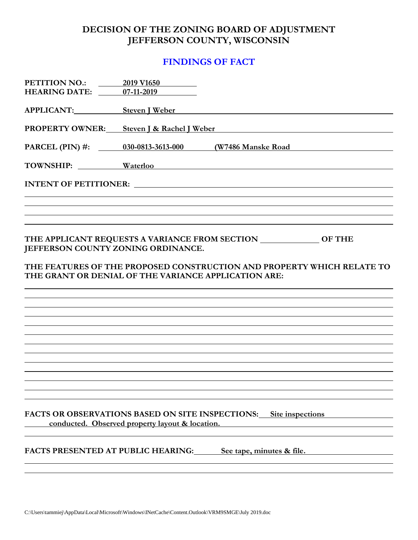# **DECISION OF THE ZONING BOARD OF ADJUSTMENT JEFFERSON COUNTY, WISCONSIN**

# **FINDINGS OF FACT**

| PETITION NO.:<br><b>HEARING DATE:</b>                                                      | 2019 V1650<br>07-11-2019                        |                                                                                                                                                |
|--------------------------------------------------------------------------------------------|-------------------------------------------------|------------------------------------------------------------------------------------------------------------------------------------------------|
|                                                                                            |                                                 |                                                                                                                                                |
| <b>APPLICANT:</b>                                                                          |                                                 | Steven J Weber News Assessment Contract to the Steven J Weber                                                                                  |
|                                                                                            |                                                 | PROPERTY OWNER: Steven J & Rachel J Weber                                                                                                      |
| PARCEL (PIN) $\#$ :                                                                        | 030-0813-3613-000 (W7486 Manske Road)           | <u> 1989 - Johann Stein, fransk politik (</u>                                                                                                  |
|                                                                                            |                                                 | TOWNSHIP: Waterloo Waterloo                                                                                                                    |
|                                                                                            |                                                 |                                                                                                                                                |
|                                                                                            |                                                 |                                                                                                                                                |
|                                                                                            |                                                 |                                                                                                                                                |
| JEFFERSON COUNTY ZONING ORDINANCE.<br>THE GRANT OR DENIAL OF THE VARIANCE APPLICATION ARE: |                                                 | THE APPLICANT REQUESTS A VARIANCE FROM SECTION ______________ OF THE<br>THE FEATURES OF THE PROPOSED CONSTRUCTION AND PROPERTY WHICH RELATE TO |
|                                                                                            |                                                 |                                                                                                                                                |
|                                                                                            |                                                 |                                                                                                                                                |
|                                                                                            |                                                 |                                                                                                                                                |
|                                                                                            |                                                 |                                                                                                                                                |
|                                                                                            |                                                 |                                                                                                                                                |
|                                                                                            |                                                 |                                                                                                                                                |
|                                                                                            |                                                 |                                                                                                                                                |
|                                                                                            |                                                 |                                                                                                                                                |
|                                                                                            | conducted. Observed property layout & location. | FACTS OR OBSERVATIONS BASED ON SITE INSPECTIONS: Site inspections                                                                              |
| <b>FACTS PRESENTED AT PUBLIC HEARING:</b>                                                  |                                                 | See tape, minutes & file.                                                                                                                      |